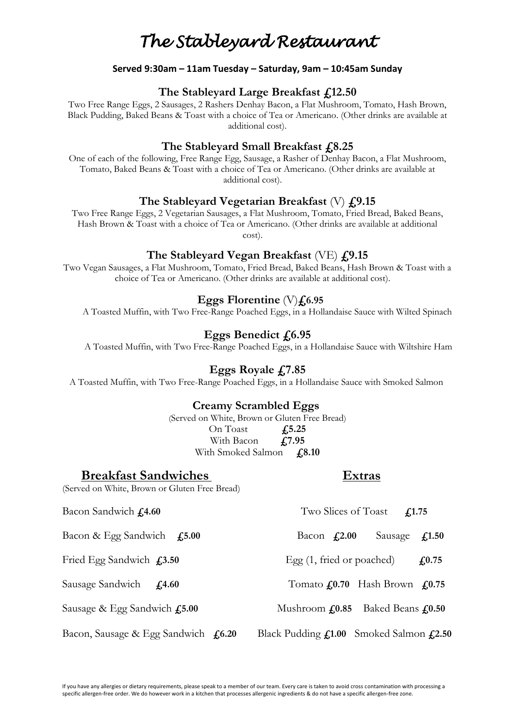# *The Stableyard Restaurant*

#### **Served 9:30am – 11am Tuesday – Saturday, 9am – 10:45am Sunday**

### **The Stableyard Large Breakfast £12.50**

Two Free Range Eggs, 2 Sausages, 2 Rashers Denhay Bacon, a Flat Mushroom, Tomato, Hash Brown, Black Pudding, Baked Beans & Toast with a choice of Tea or Americano. (Other drinks are available at additional cost).

# **The Stableyard Small Breakfast £8.25**

One of each of the following, Free Range Egg, Sausage, a Rasher of Denhay Bacon, a Flat Mushroom, Tomato, Baked Beans & Toast with a choice of Tea or Americano. (Other drinks are available at additional cost).

### **The Stableyard Vegetarian Breakfast** (V) **£9.15**

Two Free Range Eggs, 2 Vegetarian Sausages, a Flat Mushroom, Tomato, Fried Bread, Baked Beans, Hash Brown & Toast with a choice of Tea or Americano. (Other drinks are available at additional cost).

### **The Stableyard Vegan Breakfast** (VE) **£9.15**

Two Vegan Sausages, a Flat Mushroom, Tomato, Fried Bread, Baked Beans, Hash Brown & Toast with a choice of Tea or Americano. (Other drinks are available at additional cost).

#### **Eggs Florentine** (V)**£6.95**

A Toasted Muffin, with Two Free-Range Poached Eggs, in a Hollandaise Sauce with Wilted Spinach

# **Eggs Benedict £6.95**

A Toasted Muffin, with Two Free-Range Poached Eggs, in a Hollandaise Sauce with Wiltshire Ham

# **Eggs Royale £7.85**

A Toasted Muffin, with Two Free-Range Poached Eggs, in a Hollandaise Sauce with Smoked Salmon

#### **Creamy Scrambled Eggs**

(Served on White, Brown or Gluten Free Bread) On Toast **£5.25** With Bacon **£7.95** With Smoked Salmon **£8.10** 

#### **Breakfast Sandwiches Extras**

(Served on White, Brown or Gluten Free Bread)

Bacon Sandwich **£4.60** Two Slices of Toast **£1.75** 

Bacon & Egg Sandwich **£5.00** Bacon **£2.00** Sausage **£1.50**

Fried Egg Sandwich  $\boldsymbol{\mathsf{L}}$ 3.50 Egg (1, fried or poached)  $\boldsymbol{\mathsf{L}}$ 0.75

Sausage Sandwich **£4.60** Tomato **£0.70** Hash Brown **£0.75**

Sausage & Egg Sandwich **£5.00** Mushroom **£0.85** Baked Beans **£0.50**

Bacon, Sausage & Egg Sandwich **£6.20** Black Pudding **£1.00** Smoked Salmon **£2.50**